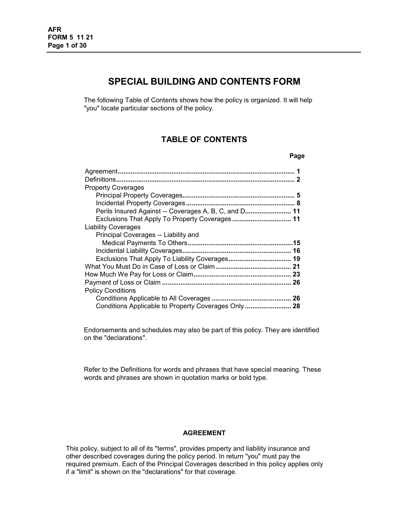# **SPECIAL BUILDING AND CONTENTS FORM**

The following Table of Contents shows how the policy is organized. It will help "you" locate particular sections of the policy.

# **TABLE OF CONTENTS**

| . .<br>×<br>×<br>۰. |
|---------------------|
|---------------------|

| <b>Property Coverages</b>                             |  |
|-------------------------------------------------------|--|
|                                                       |  |
|                                                       |  |
| Perils Insured Against -- Coverages A, B, C, and D 11 |  |
| Exclusions That Apply To Property Coverages 11        |  |
| <b>Liability Coverages</b>                            |  |
| Principal Coverages -- Liability and                  |  |
|                                                       |  |
|                                                       |  |
| Exclusions That Apply To Liability Coverages 19       |  |
|                                                       |  |
|                                                       |  |
|                                                       |  |
| <b>Policy Conditions</b>                              |  |
|                                                       |  |
| Conditions Applicable to Property Coverages Only  28  |  |

Endorsements and schedules may also be part of this policy. They are identified on the "declarations".

Refer to the Definitions for words and phrases that have special meaning. These words and phrases are shown in quotation marks or bold type.

#### **AGREEMENT**

<span id="page-0-0"></span>This policy, subject to all of its "terms", provides property and liability insurance and other described coverages during the policy period. In return "you" must pay the required premium. Each of the Principal Coverages described in this policy applies only if a "limit" is shown on the "declarations" for that coverage.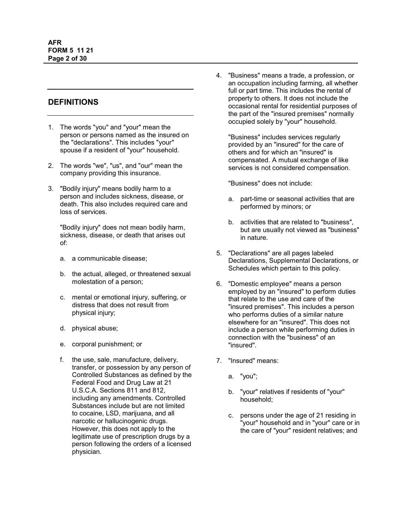# <span id="page-1-0"></span>**DEFINITIONS**

- 1. The words "you" and "your" mean the person or persons named as the insured on the "declarations". This includes "your" spouse if a resident of "your" household.
- 2. The words "we", "us", and "our" mean the company providing this insurance.
- 3. "Bodily injury" means bodily harm to a person and includes sickness, disease, or death. This also includes required care and loss of services.

"Bodily injury" does not mean bodily harm, sickness, disease, or death that arises out of:

- a. a communicable disease;
- b. the actual, alleged, or threatened sexual molestation of a person;
- c. mental or emotional injury, suffering, or distress that does not result from physical injury;
- d. physical abuse;
- e. corporal punishment; or
- f. the use, sale, manufacture, delivery, transfer, or possession by any person of Controlled Substances as defined by the Federal Food and Drug Law at 21 U.S.C.A. Sections 811 and 812, including any amendments. Controlled Substances include but are not limited to cocaine, LSD, marijuana, and all narcotic or hallucinogenic drugs. However, this does not apply to the legitimate use of prescription drugs by a person following the orders of a licensed physician.

4. "Business" means a trade, a profession, or an occupation including farming, all whether full or part time. This includes the rental of property to others. It does not include the occasional rental for residential purposes of the part of the "insured premises" normally occupied solely by "your" household.

"Business" includes services regularly provided by an "insured" for the care of others and for which an "insured" is compensated. A mutual exchange of like services is not considered compensation.

"Business" does not include:

- a. part-time or seasonal activities that are performed by minors; or
- b. activities that are related to "business", but are usually not viewed as "business" in nature.
- 5. "Declarations" are all pages labeled Declarations, Supplemental Declarations, or Schedules which pertain to this policy.
- 6. "Domestic employee" means a person employed by an "insured" to perform duties that relate to the use and care of the "insured premises". This includes a person who performs duties of a similar nature elsewhere for an "insured". This does not include a person while performing duties in connection with the "business" of an "insured".
- 7. "Insured" means:
	- a. "you";
	- b. "your" relatives if residents of "your" household;
	- c. persons under the age of 21 residing in "your" household and in "your" care or in the care of "your" resident relatives; and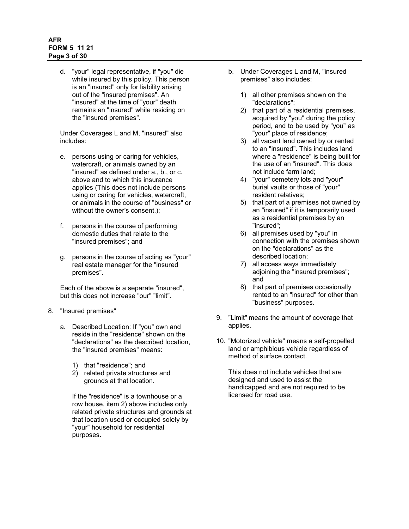# **AFR FORM 5 11 21 Page 3 of 30**

d. "your" legal representative, if "you" die while insured by this policy. This person is an "insured" only for liability arising out of the "insured premises". An "insured" at the time of "your" death remains an "insured" while residing on the "insured premises".

Under Coverages L and M, "insured" also includes:

- e. persons using or caring for vehicles, watercraft, or animals owned by an "insured" as defined under a., b., or c. above and to which this insurance applies (This does not include persons using or caring for vehicles, watercraft, or animals in the course of "business" or without the owner's consent.);
- f. persons in the course of performing domestic duties that relate to the "insured premises"; and
- g. persons in the course of acting as "your" real estate manager for the "insured premises".

Each of the above is a separate "insured", but this does not increase "our" "limit".

- 8. "Insured premises"
	- a. Described Location: If "you" own and reside in the "residence" shown on the "declarations" as the described location, the "insured premises" means:
		- 1) that "residence"; and
		- 2) related private structures and grounds at that location.

If the "residence" is a townhouse or a row house, item 2) above includes only related private structures and grounds at that location used or occupied solely by "your" household for residential purposes.

- b. Under Coverages L and M, "insured premises" also includes:
	- 1) all other premises shown on the "declarations";
	- 2) that part of a residential premises, acquired by "you" during the policy period, and to be used by "you" as "your" place of residence;
	- 3) all vacant land owned by or rented to an "insured". This includes land where a "residence" is being built for the use of an "insured". This does not include farm land;
	- 4) "your" cemetery lots and "your" burial vaults or those of "your" resident relatives;
	- 5) that part of a premises not owned by an "insured" if it is temporarily used as a residential premises by an "insured";
	- 6) all premises used by "you" in connection with the premises shown on the "declarations" as the described location;
	- 7) all access ways immediately adjoining the "insured premises"; and
	- 8) that part of premises occasionally rented to an "insured" for other than "business" purposes.
- 9. "Limit" means the amount of coverage that applies.
- 10. "Motorized vehicle" means a self-propelled land or amphibious vehicle regardless of method of surface contact.

This does not include vehicles that are designed and used to assist the handicapped and are not required to be licensed for road use.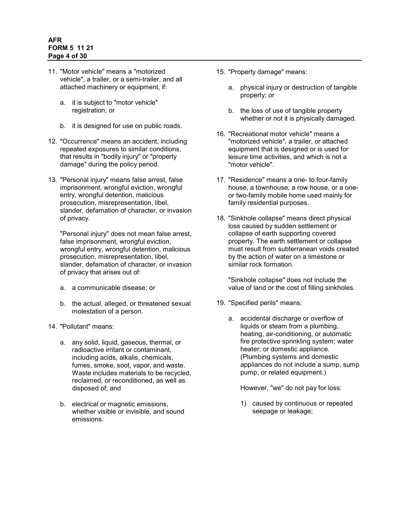## **AFR FORM 5 11 21 Page 4 of 30**

- 11. "Motor vehicle" means a "motorized vehicle", a trailer, or a semi-trailer, and all attached machinery or equipment, if:
	- a. it is subject to "motor vehicle" registration; or
	- b. it is designed for use on public roads.
- 12. "Occurrence" means an accident, including repeated exposures to similar conditions, that results in "bodily injury" or "property damage" during the policy period.
- 13. "Personal injury" means false arrest, false imprisonment, wrongful eviction, wrongful entry, wrongful detention, malicious prosecution, misrepresentation, libel, slander, defamation of character, or invasion of privacy.

"Personal injury" does not mean false arrest, false imprisonment, wrongful eviction. wrongful entry, wrongful detention, malicious prosecution, misrepresentation, libel, slander, defamation of character, or invasion of privacy that arises out of:

- a. a communicable disease; or
- b. the actual, alleged, or threatened sexual molestation of a person.
- 14. "Pollutant" means:
	- a. any solid, liquid, gaseous, thermal, or radioactive irritant or contaminant, including acids, alkalis, chemicals, fumes, smoke, soot, vapor, and waste. Waste includes materials to be recycled, reclaimed, or reconditioned, as well as disposed of; and
	- b. electrical or magnetic emissions, whether visible or invisible, and sound emissions.
- 15. "Property damage" means:
	- a. physical injury or destruction of tangible property; or
	- b. the loss of use of tangible property whether or not it is physically damaged.
- 16. "Recreational motor vehicle" means a "motorized vehicle", a trailer, or attached equipment that is designed or is used for leisure time activities, and which is not a "motor vehicle".
- 17. "Residence" means a one- to four-family house, a townhouse, a row house, or a oneor two-family mobile home used mainly for family residential purposes.
- 18. "Sinkhole collapse" means direct physical loss caused by sudden settlement or collapse of earth supporting covered property. The earth settlement or collapse must result from subterranean voids created by the action of water on a limestone or similar rock formation.

"Sinkhole collapse" does not include the value of land or the cost of filling sinkholes.

- 19. "Specified perils" means:
	- a. accidental discharge or overflow of liquids or steam from a plumbing, heating, air-conditioning, or automatic fire protective sprinkling system; water heater; or domestic appliance. (Plumbing systems and domestic appliances do not include a sump, sump pump, or related equipment.)

However, "we" do not pay for loss:

1) caused by continuous or repeated seepage or leakage;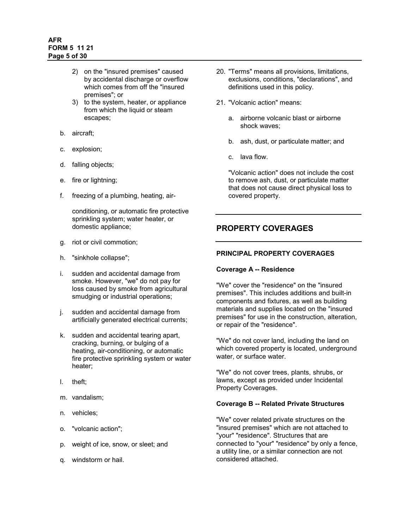# **AFR FORM 5 11 21 Page 5 of 30**

- 2) on the "insured premises" caused by accidental discharge or overflow which comes from off the "insured premises"; or
- 3) to the system, heater, or appliance from which the liquid or steam escapes;
- b. aircraft;
- c. explosion;
- d. falling objects;
- e. fire or lightning;
- f. freezing of a plumbing, heating, air-

conditioning, or automatic fire protective sprinkling system; water heater, or domestic appliance;

- g. riot or civil commotion;
- h. "sinkhole collapse";
- i. sudden and accidental damage from smoke. However, "we" do not pay for loss caused by smoke from agricultural smudging or industrial operations;
- j. sudden and accidental damage from artificially generated electrical currents;
- k. sudden and accidental tearing apart, cracking, burning, or bulging of a heating, air-conditioning, or automatic fire protective sprinkling system or water heater;
- l. theft;
- m. vandalism;
- n. vehicles;
- o. "volcanic action";
- p. weight of ice, snow, or sleet; and
- <span id="page-4-0"></span>q. windstorm or hail.
- 20. "Terms" means all provisions, limitations, exclusions, conditions, "declarations", and definitions used in this policy.
- 21. "Volcanic action" means:
	- a. airborne volcanic blast or airborne shock waves;
	- b. ash, dust, or particulate matter; and
	- c. lava flow.

"Volcanic action" does not include the cost to remove ash, dust, or particulate matter that does not cause direct physical loss to covered property.

# **PROPERTY COVERAGES**

### <span id="page-4-1"></span>**PRINCIPAL PROPERTY COVERAGES**

#### **Coverage A -- Residence**

"We" cover the "residence" on the "insured premises". This includes additions and built-in components and fixtures, as well as building materials and supplies located on the "insured premises" for use in the construction, alteration, or repair of the "residence".

"We" do not cover land, including the land on which covered property is located, underground water, or surface water.

"We" do not cover trees, plants, shrubs, or lawns, except as provided under Incidental Property Coverages.

# **Coverage B -- Related Private Structures**

"We" cover related private structures on the "insured premises" which are not attached to "your" "residence". Structures that are connected to "your" "residence" by only a fence, a utility line, or a similar connection are not considered attached.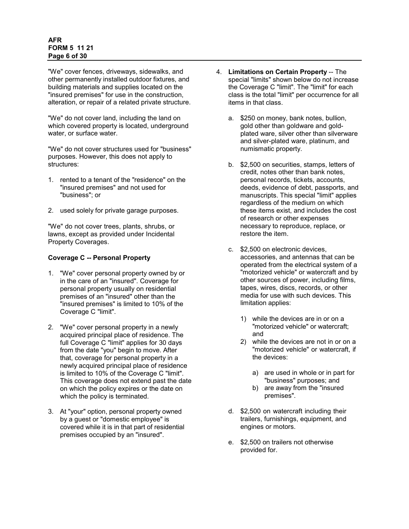### **AFR FORM 5 11 21 Page 6 of 30**

"We" cover fences, driveways, sidewalks, and other permanently installed outdoor fixtures, and building materials and supplies located on the "insured premises" for use in the construction, alteration, or repair of a related private structure.

"We" do not cover land, including the land on which covered property is located, underground water, or surface water.

"We" do not cover structures used for "business" purposes. However, this does not apply to structures:

- 1. rented to a tenant of the "residence" on the "insured premises" and not used for "business"; or
- 2. used solely for private garage purposes.

"We" do not cover trees, plants, shrubs, or lawns, except as provided under Incidental Property Coverages.

### **Coverage C -- Personal Property**

- 1. "We" cover personal property owned by or in the care of an "insured". Coverage for personal property usually on residential premises of an "insured" other than the "insured premises" is limited to 10% of the Coverage C "limit".
- 2. "We" cover personal property in a newly acquired principal place of residence. The full Coverage C "limit" applies for 30 days from the date "you" begin to move. After that, coverage for personal property in a newly acquired principal place of residence is limited to 10% of the Coverage C "limit". This coverage does not extend past the date on which the policy expires or the date on which the policy is terminated.
- 3. At "your" option, personal property owned by a guest or "domestic employee" is covered while it is in that part of residential premises occupied by an "insured".
- 4. **Limitations on Certain Property** -- The special "limits" shown below do not increase the Coverage C "limit". The "limit" for each class is the total "limit" per occurrence for all items in that class.
	- a. \$250 on money, bank notes, bullion, gold other than goldware and goldplated ware, silver other than silverware and silver-plated ware, platinum, and numismatic property.
	- b. \$2,500 on securities, stamps, letters of credit, notes other than bank notes, personal records, tickets, accounts, deeds, evidence of debt, passports, and manuscripts. This special "limit" applies regardless of the medium on which these items exist, and includes the cost of research or other expenses necessary to reproduce, replace, or restore the item.
	- c. \$2,500 on electronic devices, accessories, and antennas that can be operated from the electrical system of a "motorized vehicle" or watercraft and by other sources of power, including films, tapes, wires, discs, records, or other media for use with such devices. This limitation applies:
		- 1) while the devices are in or on a "motorized vehicle" or watercraft; and
		- 2) while the devices are not in or on a "motorized vehicle" or watercraft, if the devices:
			- a) are used in whole or in part for "business" purposes; and
			- b) are away from the "insured premises".
	- d. \$2,500 on watercraft including their trailers, furnishings, equipment, and engines or motors.
	- e. \$2,500 on trailers not otherwise provided for.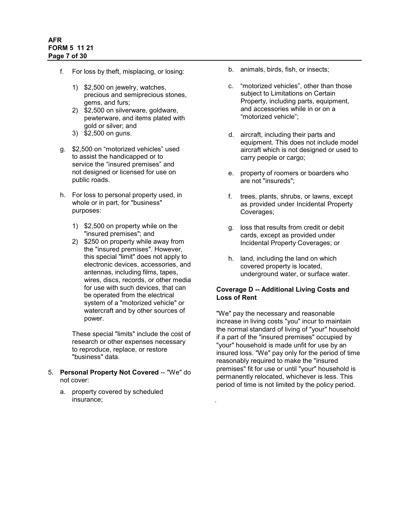- f. For loss by theft, misplacing, or losing:
	- 1) \$2,500 on jewelry, watches, precious and semiprecious stones, gems, and furs;
	- 2) \$2,500 on silverware, goldware, pewterware, and items plated with gold or silver; and
	- 3) \$2,500 on guns.
- g. \$2,500 on "motorized vehicles" used to assist the handicapped or to service the "insured premises" and not designed or licensed for use on public roads.
- h. For loss to personal property used, in whole or in part, for "business" purposes:
	- 1) \$2,500 on property while on the "insured premises"; and
	- 2) \$250 on property while away from the "insured premises". However, this special "limit" does not apply to electronic devices, accessories, and antennas, including films, tapes, wires, discs, records, or other media for use with such devices, that can be operated from the electrical system of a "motorized vehicle" or watercraft and by other sources of power.

These special "limits" include the cost of research or other expenses necessary to reproduce, replace, or restore "business" data.

- 5. **Personal Property Not Covered** -- "We" do not cover:
	- a. property covered by scheduled insurance;
- b. animals, birds, fish, or insects;
- c. "motorized vehicles", other than those subject to Limitations on Certain Property, including parts, equipment, and accessories while in or on a "motorized vehicle";
- d. aircraft, including their parts and equipment. This does not include model aircraft which is not designed or used to carry people or cargo;
- e. property of roomers or boarders who are not "insureds";
- f. trees, plants, shrubs, or lawns, except as provided under Incidental Property Coverages;
- g. loss that results from credit or debit cards, except as provided under Incidental Property Coverages; or
- h. land, including the land on which covered property is located, underground water, or surface water.

# **Coverage D -- Additional Living Costs and Loss of Rent**

"We" pay the necessary and reasonable increase in living costs "you" incur to maintain the normal standard of living of "your" household if a part of the "insured premises" occupied by "your" household is made unfit for use by an insured loss. "We" pay only for the period of time reasonably required to make the "insured premises" fit for use or until "your" household is permanently relocated, whichever is less. This period of time is not limited by the policy period.

.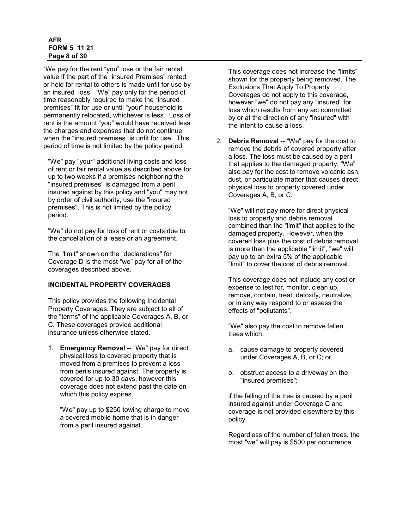#### **AFR FORM 5 11 21 Page 8 of 30**

"We pay for the rent "you" lose or the fair rental value if the part of the "insured Premises" rented or held for rental to others is made unfit for use by an insured loss. "We" pay only for the period of time reasonably required to make the "insured premises" fit for use or until "your" household is permanently relocated, whichever is less. Loss of rent is the amount "you" would have received less the charges and expenses that do not continue when the "insured premises" is unfit for use. This period of time is not limited by the policy period

"We" pay "your" additional living costs and loss of rent or fair rental value as described above for up to two weeks if a premises neighboring the "insured premises" is damaged from a peril insured against by this policy and "you" may not, by order of civil authority, use the "insured premises". This is not limited by the policy period.

"We" do not pay for loss of rent or costs due to the cancellation of a lease or an agreement.

The "limit" shown on the "declarations" for Coverage D is the most "we" pay for all of the coverages described above.

# <span id="page-7-0"></span>**INCIDENTAL PROPERTY COVERAGES**

This policy provides the following Incidental Property Coverages. They are subject to all of the "terms" of the applicable Coverages A, B, or C. These coverages provide additional insurance unless otherwise stated.

1. **Emergency Removal** -- "We" pay for direct physical loss to covered property that is moved from a premises to prevent a loss from perils insured against. The property is covered for up to 30 days, however this coverage does not extend past the date on which this policy expires.

"We" pay up to \$250 towing charge to move a covered mobile home that is in danger from a peril insured against.

This coverage does not increase the "limits" shown for the property being removed. The Exclusions That Apply To Property Coverages do not apply to this coverage, however "we" do not pay any "insured" for loss which results from any act committed by or at the direction of any "insured" with the intent to cause a loss.

2. **Debris Removal** -- "We" pay for the cost to remove the debris of covered property after a loss. The loss must be caused by a peril that applies to the damaged property. "We" also pay for the cost to remove volcanic ash, dust, or particulate matter that causes direct physical loss to property covered under Coverages A, B, or C.

"We" will not pay more for direct physical loss to property and debris removal combined than the "limit" that applies to the damaged property. However, when the covered loss plus the cost of debris removal is more than the applicable "limit", "we" will pay up to an extra 5% of the applicable "limit" to cover the cost of debris removal.

This coverage does not include any cost or expense to test for, monitor, clean up, remove, contain, treat, detoxify, neutralize, or in any way respond to or assess the effects of "pollutants".

"We" also pay the cost to remove fallen trees which:

- a. cause damage to property covered under Coverages A, B, or C; or
- b. obstruct access to a driveway on the "insured premises";

if the falling of the tree is caused by a peril insured against under Coverage C and coverage is not provided elsewhere by this policy.

Regardless of the number of fallen trees, the most "we" will pay is \$500 per occurrence.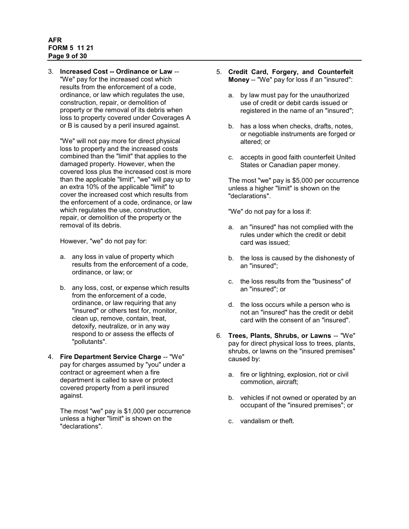# **AFR FORM 5 11 21 Page 9 of 30**

3. **Increased Cost -- Ordinance or Law** -- "We" pay for the increased cost which results from the enforcement of a code, ordinance, or law which regulates the use, construction, repair, or demolition of property or the removal of its debris when loss to property covered under Coverages A or B is caused by a peril insured against.

"We" will not pay more for direct physical loss to property and the increased costs combined than the "limit" that applies to the damaged property. However, when the covered loss plus the increased cost is more than the applicable "limit", "we" will pay up to an extra 10% of the applicable "limit" to cover the increased cost which results from the enforcement of a code, ordinance, or law which regulates the use, construction, repair, or demolition of the property or the removal of its debris.

However, "we" do not pay for:

- a. any loss in value of property which results from the enforcement of a code, ordinance, or law; or
- b. any loss, cost, or expense which results from the enforcement of a code, ordinance, or law requiring that any "insured" or others test for, monitor, clean up, remove, contain, treat, detoxify, neutralize, or in any way respond to or assess the effects of "pollutants".
- 4. **Fire Department Service Charge** -- "We" pay for charges assumed by "you" under a contract or agreement when a fire department is called to save or protect covered property from a peril insured against.

The most "we" pay is \$1,000 per occurrence unless a higher "limit" is shown on the "declarations".

- 5. **Credit Card, Forgery, and Counterfeit Money** -- "We" pay for loss if an "insured":
	- a. by law must pay for the unauthorized use of credit or debit cards issued or registered in the name of an "insured";
	- b. has a loss when checks, drafts, notes, or negotiable instruments are forged or altered; or
	- c. accepts in good faith counterfeit United States or Canadian paper money.

The most "we" pay is \$5,000 per occurrence unless a higher "limit" is shown on the "declarations".

"We" do not pay for a loss if:

- a. an "insured" has not complied with the rules under which the credit or debit card was issued;
- b. the loss is caused by the dishonesty of an "insured";
- c. the loss results from the "business" of an "insured"; or
- d. the loss occurs while a person who is not an "insured" has the credit or debit card with the consent of an "insured".
- 6. **Trees, Plants, Shrubs, or Lawns** -- "We" pay for direct physical loss to trees, plants, shrubs, or lawns on the "insured premises" caused by:
	- a. fire or lightning, explosion, riot or civil commotion, aircraft;
	- b. vehicles if not owned or operated by an occupant of the "insured premises"; or
	- c. vandalism or theft.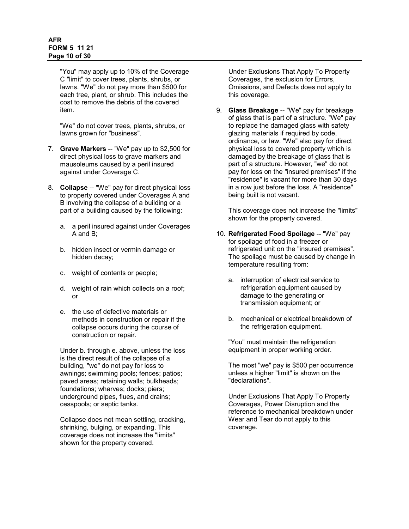### **AFR FORM 5 11 21 Page 10 of 30**

"You" may apply up to 10% of the Coverage C "limit" to cover trees, plants, shrubs, or lawns. "We" do not pay more than \$500 for each tree, plant, or shrub. This includes the cost to remove the debris of the covered item.

"We" do not cover trees, plants, shrubs, or lawns grown for "business".

- 7. **Grave Markers** -- "We" pay up to \$2,500 for direct physical loss to grave markers and mausoleums caused by a peril insured against under Coverage C.
- 8. **Collapse** -- "We" pay for direct physical loss to property covered under Coverages A and B involving the collapse of a building or a part of a building caused by the following:
	- a. a peril insured against under Coverages A and B;
	- b. hidden insect or vermin damage or hidden decay;
	- c. weight of contents or people;
	- d. weight of rain which collects on a roof; or
	- e. the use of defective materials or methods in construction or repair if the collapse occurs during the course of construction or repair.

Under b. through e. above, unless the loss is the direct result of the collapse of a building, "we" do not pay for loss to awnings; swimming pools; fences; patios; paved areas; retaining walls; bulkheads; foundations; wharves; docks; piers; underground pipes, flues, and drains; cesspools; or septic tanks.

Collapse does not mean settling, cracking, shrinking, bulging, or expanding. This coverage does not increase the "limits" shown for the property covered.

Under Exclusions That Apply To Property Coverages, the exclusion for Errors, Omissions, and Defects does not apply to this coverage.

9. **Glass Breakage** -- "We" pay for breakage of glass that is part of a structure. "We" pay to replace the damaged glass with safety glazing materials if required by code, ordinance, or law. "We" also pay for direct physical loss to covered property which is damaged by the breakage of glass that is part of a structure. However, "we" do not pay for loss on the "insured premises" if the "residence" is vacant for more than 30 days in a row just before the loss. A "residence" being built is not vacant.

This coverage does not increase the "limits" shown for the property covered.

- 10. **Refrigerated Food Spoilage** -- "We" pay for spoilage of food in a freezer or refrigerated unit on the "insured premises". The spoilage must be caused by change in temperature resulting from:
	- a. interruption of electrical service to refrigeration equipment caused by damage to the generating or transmission equipment; or
	- b. mechanical or electrical breakdown of the refrigeration equipment.

"You" must maintain the refrigeration equipment in proper working order.

The most "we" pay is \$500 per occurrence unless a higher "limit" is shown on the "declarations".

Under Exclusions That Apply To Property Coverages, Power Disruption and the reference to mechanical breakdown under Wear and Tear do not apply to this coverage.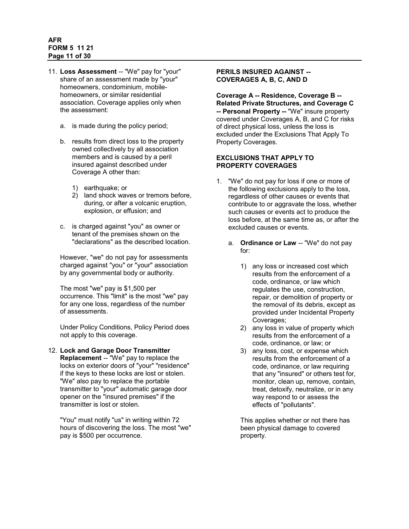## **AFR FORM 5 11 21 Page 11 of 30**

- 11. **Loss Assessment** -- "We" pay for "your" share of an assessment made by "your" homeowners, condominium, mobilehomeowners, or similar residential association. Coverage applies only when the assessment:
	- a. is made during the policy period;
	- b. results from direct loss to the property owned collectively by all association members and is caused by a peril insured against described under Coverage A other than:
		- 1) earthquake; or
		- 2) land shock waves or tremors before, during, or after a volcanic eruption, explosion, or effusion; and
	- c. is charged against "you" as owner or tenant of the premises shown on the "declarations" as the described location.

However, "we" do not pay for assessments charged against "you" or "your" association by any governmental body or authority.

The most "we" pay is \$1,500 per occurrence. This "limit" is the most "we" pay for any one loss, regardless of the number of assessments.

Under Policy Conditions, Policy Period does not apply to this coverage.

#### 12. **Lock and Garage Door Transmitter Replacement** -- "We" pay to replace the locks on exterior doors of "your" "residence" if the keys to these locks are lost or stolen. "We" also pay to replace the portable transmitter to "your" automatic garage door opener on the "insured premises" if the transmitter is lost or stolen.

<span id="page-10-0"></span>"You" must notify "us" in writing within 72 hours of discovering the loss. The most "we" pay is \$500 per occurrence.

# **PERILS INSURED AGAINST -- COVERAGES A, B, C, AND D**

**Coverage A -- Residence, Coverage B -- Related Private Structures, and Coverage C -- Personal Property --** "We" insure property covered under Coverages A, B, and C for risks of direct physical loss, unless the loss is excluded under the Exclusions That Apply To Property Coverages.

# <span id="page-10-1"></span>**EXCLUSIONS THAT APPLY TO PROPERTY COVERAGES**

- 1. "We" do not pay for loss if one or more of the following exclusions apply to the loss, regardless of other causes or events that contribute to or aggravate the loss, whether such causes or events act to produce the loss before, at the same time as, or after the excluded causes or events.
	- a. **Ordinance or Law** -- "We" do not pay for:
		- 1) any loss or increased cost which results from the enforcement of a code, ordinance, or law which regulates the use, construction, repair, or demolition of property or the removal of its debris, except as provided under Incidental Property Coverages;
		- 2) any loss in value of property which results from the enforcement of a code, ordinance, or law; or
		- 3) any loss, cost, or expense which results from the enforcement of a code, ordinance, or law requiring that any "insured" or others test for, monitor, clean up, remove, contain, treat, detoxify, neutralize, or in any way respond to or assess the effects of "pollutants".

This applies whether or not there has been physical damage to covered property.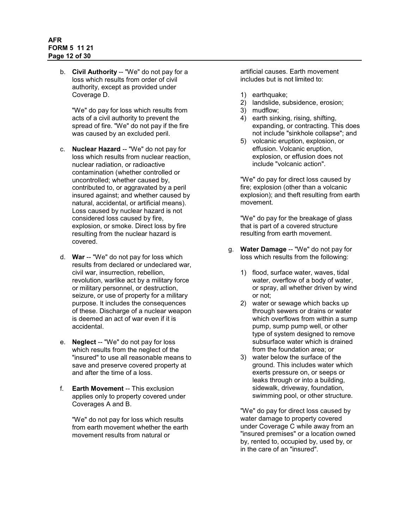b. **Civil Authority** -- "We" do not pay for a loss which results from order of civil authority, except as provided under Coverage D.

"We" do pay for loss which results from acts of a civil authority to prevent the spread of fire. "We" do not pay if the fire was caused by an excluded peril.

- c. **Nuclear Hazard** -- "We" do not pay for loss which results from nuclear reaction, nuclear radiation, or radioactive contamination (whether controlled or uncontrolled; whether caused by, contributed to, or aggravated by a peril insured against; and whether caused by natural, accidental, or artificial means). Loss caused by nuclear hazard is not considered loss caused by fire, explosion, or smoke. Direct loss by fire resulting from the nuclear hazard is covered.
- d. **War** -- "We" do not pay for loss which results from declared or undeclared war, civil war, insurrection, rebellion, revolution, warlike act by a military force or military personnel, or destruction, seizure, or use of property for a military purpose. It includes the consequences of these. Discharge of a nuclear weapon is deemed an act of war even if it is accidental.
- e. **Neglect** -- "We" do not pay for loss which results from the neglect of the "insured" to use all reasonable means to save and preserve covered property at and after the time of a loss.
- f. **Earth Movement** -- This exclusion applies only to property covered under Coverages A and B.

"We" do not pay for loss which results from earth movement whether the earth movement results from natural or

artificial causes. Earth movement includes but is not limited to:

- 1) earthquake;
- 2) landslide, subsidence, erosion;
- 3) mudflow;
- 4) earth sinking, rising, shifting, expanding, or contracting. This does not include "sinkhole collapse"; and
- 5) volcanic eruption, explosion, or effusion. Volcanic eruption, explosion, or effusion does not include "volcanic action".

"We" do pay for direct loss caused by fire; explosion (other than a volcanic explosion); and theft resulting from earth movement.

"We" do pay for the breakage of glass that is part of a covered structure resulting from earth movement.

- g. **Water Damage** -- "We" do not pay for loss which results from the following:
	- 1) flood, surface water, waves, tidal water, overflow of a body of water, or spray, all whether driven by wind or not;
	- 2) water or sewage which backs up through sewers or drains or water which overflows from within a sump pump, sump pump well, or other type of system designed to remove subsurface water which is drained from the foundation area; or
	- 3) water below the surface of the ground. This includes water which exerts pressure on, or seeps or leaks through or into a building, sidewalk, driveway, foundation, swimming pool, or other structure.

"We" do pay for direct loss caused by water damage to property covered under Coverage C while away from an "insured premises" or a location owned by, rented to, occupied by, used by, or in the care of an "insured".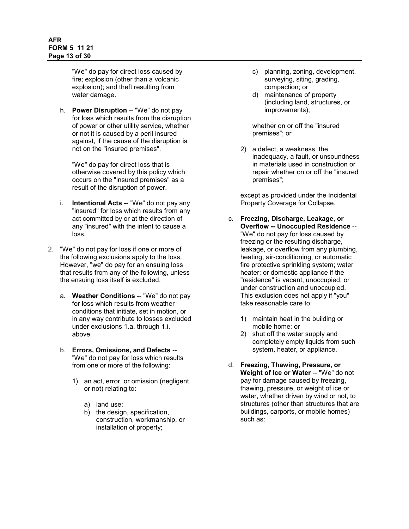### **AFR FORM 5 11 21 Page 13 of 30**

"We" do pay for direct loss caused by fire; explosion (other than a volcanic explosion); and theft resulting from water damage.

h. **Power Disruption** -- "We" do not pay for loss which results from the disruption of power or other utility service, whether or not it is caused by a peril insured against, if the cause of the disruption is not on the "insured premises".

"We" do pay for direct loss that is otherwise covered by this policy which occurs on the "insured premises" as a result of the disruption of power.

- i. **Intentional Acts** -- "We" do not pay any "insured" for loss which results from any act committed by or at the direction of any "insured" with the intent to cause a loss.
- 2. "We" do not pay for loss if one or more of the following exclusions apply to the loss. However, "we" do pay for an ensuing loss that results from any of the following, unless the ensuing loss itself is excluded.
	- a. **Weather Conditions** -- "We" do not pay for loss which results from weather conditions that initiate, set in motion, or in any way contribute to losses excluded under exclusions 1.a. through 1.i. above.
	- b. **Errors, Omissions, and Defects** -- "We" do not pay for loss which results from one or more of the following:
		- 1) an act, error, or omission (negligent or not) relating to:
			- a) land use;
			- b) the design, specification, construction, workmanship, or installation of property;
- c) planning, zoning, development, surveying, siting, grading, compaction; or
- d) maintenance of property (including land, structures, or improvements);

whether on or off the "insured premises"; or

2) a defect, a weakness, the inadequacy, a fault, or unsoundness in materials used in construction or repair whether on or off the "insured premises";

except as provided under the Incidental Property Coverage for Collapse.

- c. **Freezing, Discharge, Leakage, or Overflow -- Unoccupied Residence** -- "We" do not pay for loss caused by freezing or the resulting discharge, leakage, or overflow from any plumbing, heating, air-conditioning, or automatic fire protective sprinkling system; water heater; or domestic appliance if the "residence" is vacant, unoccupied, or under construction and unoccupied. This exclusion does not apply if "you" take reasonable care to:
	- 1) maintain heat in the building or mobile home; or
	- 2) shut off the water supply and completely empty liquids from such system, heater, or appliance.
- d. **Freezing, Thawing, Pressure, or Weight of Ice or Water** -- "We" do not pay for damage caused by freezing, thawing, pressure, or weight of ice or water, whether driven by wind or not, to structures (other than structures that are buildings, carports, or mobile homes) such as: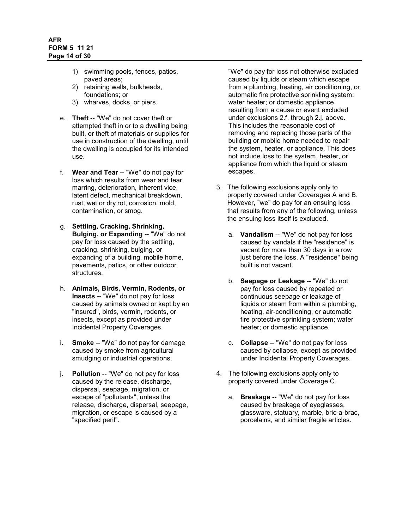- 1) swimming pools, fences, patios, paved areas;
- 2) retaining walls, bulkheads, foundations; or
- 3) wharves, docks, or piers.
- e. **Theft** -- "We" do not cover theft or attempted theft in or to a dwelling being built, or theft of materials or supplies for use in construction of the dwelling, until the dwelling is occupied for its intended use.
- f. **Wear and Tear** -- "We" do not pay for loss which results from wear and tear, marring, deterioration, inherent vice, latent defect, mechanical breakdown, rust, wet or dry rot, corrosion, mold, contamination, or smog.
- g. **Settling, Cracking, Shrinking, Bulging, or Expanding -- "We" do not** pay for loss caused by the settling, cracking, shrinking, bulging, or expanding of a building, mobile home, pavements, patios, or other outdoor structures.
- h. **Animals, Birds, Vermin, Rodents, or Insects** -- "We" do not pay for loss caused by animals owned or kept by an "insured", birds, vermin, rodents, or insects, except as provided under Incidental Property Coverages.
- i. **Smoke** -- "We" do not pay for damage caused by smoke from agricultural smudging or industrial operations.
- j. **Pollution** -- "We" do not pay for loss caused by the release, discharge, dispersal, seepage, migration, or escape of "pollutants", unless the release, discharge, dispersal, seepage, migration, or escape is caused by a "specified peril".

"We" do pay for loss not otherwise excluded caused by liquids or steam which escape from a plumbing, heating, air conditioning, or automatic fire protective sprinkling system; water heater; or domestic appliance resulting from a cause or event excluded under exclusions 2.f. through 2.j. above. This includes the reasonable cost of removing and replacing those parts of the building or mobile home needed to repair the system, heater, or appliance. This does not include loss to the system, heater, or appliance from which the liquid or steam escapes.

- 3. The following exclusions apply only to property covered under Coverages A and B. However, "we" do pay for an ensuing loss that results from any of the following, unless the ensuing loss itself is excluded.
	- a. **Vandalism** -- "We" do not pay for loss caused by vandals if the "residence" is vacant for more than 30 days in a row just before the loss. A "residence" being built is not vacant.
	- b. **Seepage or Leakage** -- "We" do not pay for loss caused by repeated or continuous seepage or leakage of liquids or steam from within a plumbing, heating, air-conditioning, or automatic fire protective sprinkling system; water heater; or domestic appliance.
	- c. **Collapse** -- "We" do not pay for loss caused by collapse, except as provided under Incidental Property Coverages.
- 4. The following exclusions apply only to property covered under Coverage C.
	- a. **Breakage** -- "We" do not pay for loss caused by breakage of eyeglasses, glassware, statuary, marble, bric-a-brac, porcelains, and similar fragile articles.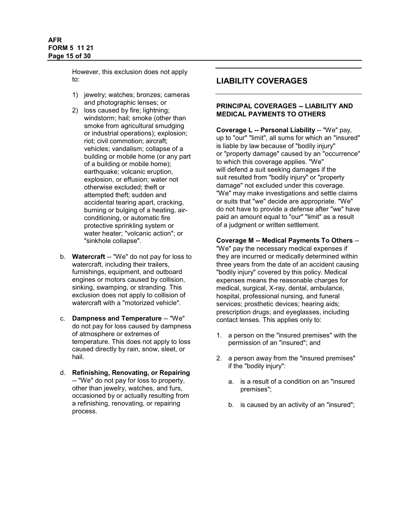However, this exclusion does not apply to:

- 1) jewelry; watches; bronzes; cameras and photographic lenses; or
- 2) loss caused by fire; lightning; windstorm; hail; smoke (other than smoke from agricultural smudging or industrial operations); explosion; riot; civil commotion; aircraft; vehicles; vandalism; collapse of a building or mobile home (or any part of a building or mobile home); earthquake; volcanic eruption, explosion, or effusion; water not otherwise excluded; theft or attempted theft; sudden and accidental tearing apart, cracking, burning or bulging of a heating, airconditioning, or automatic fire protective sprinkling system or water heater; "volcanic action"; or "sinkhole collapse".
- b. **Watercraft** -- "We" do not pay for loss to watercraft, including their trailers, furnishings, equipment, and outboard engines or motors caused by collision, sinking, swamping, or stranding. This exclusion does not apply to collision of watercraft with a "motorized vehicle".
- c. **Dampness and Temperature** -- "We" do not pay for loss caused by dampness of atmosphere or extremes of temperature. This does not apply to loss caused directly by rain, snow, sleet, or hail.
- d. **Refinishing, Renovating, or Repairing** -- "We" do not pay for loss to property, other than jewelry, watches, and furs, occasioned by or actually resulting from a refinishing, renovating, or repairing process.

# <span id="page-14-0"></span>**LIABILITY COVERAGES**

### **PRINCIPAL COVERAGES -- LIABILITY AND MEDICAL PAYMENTS TO OTHERS**

**Coverage L -- Personal Liability** -- "We" pay, up to "our" "limit", all sums for which an "insured" is liable by law because of "bodily injury" or "property damage" caused by an "occurrence" to which this coverage applies. "We" will defend a suit seeking damages if the suit resulted from "bodily injury" or "property damage" not excluded under this coverage. "We" may make investigations and settle claims or suits that "we" decide are appropriate. "We" do not have to provide a defense after "we" have paid an amount equal to "our" "limit" as a result of a judgment or written settlement.

### **Coverage M -- Medical Payments To Others** --

"We" pay the necessary medical expenses if they are incurred or medically determined within three years from the date of an accident causing "bodily injury" covered by this policy. Medical expenses means the reasonable charges for medical, surgical, X-ray, dental, ambulance, hospital, professional nursing, and funeral services; prosthetic devices; hearing aids; prescription drugs; and eyeglasses, including contact lenses. This applies only to:

- 1. a person on the "insured premises" with the permission of an "insured"; and
- 2. a person away from the "insured premises" if the "bodily injury":
	- a. is a result of a condition on an "insured premises";
	- b. is caused by an activity of an "insured";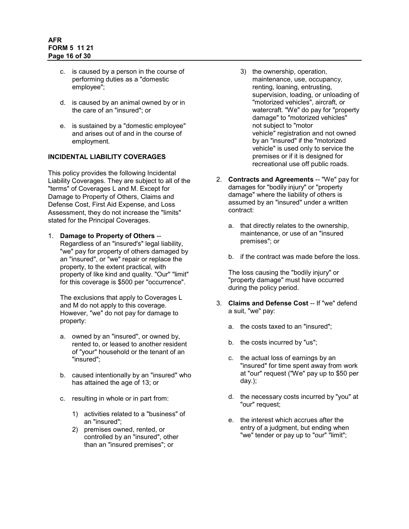- c. is caused by a person in the course of performing duties as a "domestic employee";
- d. is caused by an animal owned by or in the care of an "insured"; or
- e. is sustained by a "domestic employee" and arises out of and in the course of employment.

#### <span id="page-15-0"></span>**INCIDENTAL LIABILITY COVERAGES**

This policy provides the following Incidental Liability Coverages. They are subject to all of the "terms" of Coverages L and M. Except for Damage to Property of Others, Claims and Defense Cost, First Aid Expense, and Loss Assessment, they do not increase the "limits" stated for the Principal Coverages.

1. **Damage to Property of Others** -- Regardless of an "insured's" legal liability, "we" pay for property of others damaged by an "insured", or "we" repair or replace the property, to the extent practical, with property of like kind and quality. "Our" "limit" for this coverage is \$500 per "occurrence".

The exclusions that apply to Coverages L and M do not apply to this coverage. However, "we" do not pay for damage to property:

- a. owned by an "insured", or owned by, rented to, or leased to another resident of "your" household or the tenant of an "insured";
- b. caused intentionally by an "insured" who has attained the age of 13; or
- c. resulting in whole or in part from:
	- 1) activities related to a "business" of an "insured";
	- 2) premises owned, rented, or controlled by an "insured", other than an "insured premises"; or
- 3) the ownership, operation, maintenance, use, occupancy, renting, loaning, entrusting, supervision, loading, or unloading of "motorized vehicles", aircraft, or watercraft. "We" do pay for "property damage" to "motorized vehicles" not subject to "motor vehicle" registration and not owned by an "insured" if the "motorized vehicle" is used only to service the premises or if it is designed for recreational use off public roads.
- 2. **Contracts and Agreements** -- "We" pay for damages for "bodily injury" or "property damage" where the liability of others is assumed by an "insured" under a written contract:
	- a. that directly relates to the ownership, maintenance, or use of an "insured premises"; or
	- b. if the contract was made before the loss.

The loss causing the "bodily injury" or "property damage" must have occurred during the policy period.

- 3. **Claims and Defense Cost** -- If "we" defend a suit, "we" pay:
	- a. the costs taxed to an "insured";
	- b. the costs incurred by "us";
	- c. the actual loss of earnings by an "insured" for time spent away from work at "our" request ("We" pay up to \$50 per day.);
	- d. the necessary costs incurred by "you" at "our" request;
	- e. the interest which accrues after the entry of a judgment, but ending when "we" tender or pay up to "our" "limit";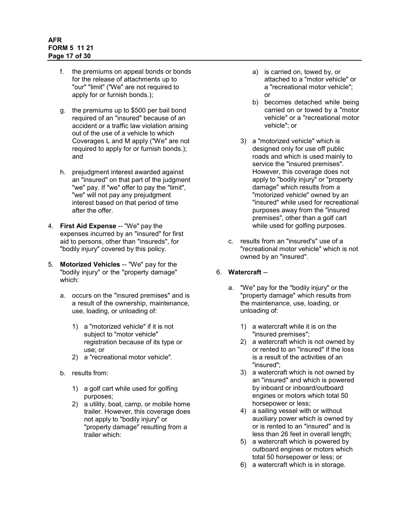# **AFR FORM 5 11 21 Page 17 of 30**

- f. the premiums on appeal bonds or bonds for the release of attachments up to "our" "limit" ("We" are not required to apply for or furnish bonds.);
- g. the premiums up to \$500 per bail bond required of an "insured" because of an accident or a traffic law violation arising out of the use of a vehicle to which Coverages L and M apply ("We" are not required to apply for or furnish bonds.); and
- h. prejudgment interest awarded against an "insured" on that part of the judgment "we" pay. If "we" offer to pay the "limit", "we" will not pay any prejudgment interest based on that period of time after the offer.
- 4. **First Aid Expense** -- "We" pay the expenses incurred by an "insured" for first aid to persons, other than "insureds", for "bodily injury" covered by this policy.
- 5. **Motorized Vehicles** -- "We" pay for the "bodily injury" or the "property damage" which:
	- a. occurs on the "insured premises" and is a result of the ownership, maintenance, use, loading, or unloading of:
		- 1) a "motorized vehicle" if it is not subject to "motor vehicle" registration because of its type or use; or
		- 2) a "recreational motor vehicle".
	- b. results from:
		- 1) a golf cart while used for golfing purposes;
		- 2) a utility, boat, camp, or mobile home trailer. However, this coverage does not apply to "bodily injury" or "property damage" resulting from a trailer which:
- a) is carried on, towed by, or attached to a "motor vehicle" or a "recreational motor vehicle"; or
- b) becomes detached while being carried on or towed by a "motor vehicle" or a "recreational motor vehicle"; or
- 3) a "motorized vehicle" which is designed only for use off public roads and which is used mainly to service the "insured premises". However, this coverage does not apply to "bodily injury" or "property damage" which results from a "motorized vehicle" owned by an "insured" while used for recreational purposes away from the "insured premises", other than a golf cart while used for golfing purposes.
- c. results from an "insured's" use of a "recreational motor vehicle" which is not owned by an "insured".

# 6. **Watercraft** --

- a. "We" pay for the "bodily injury" or the "property damage" which results from the maintenance, use, loading, or unloading of:
	- 1) a watercraft while it is on the "insured premises";
	- 2) a watercraft which is not owned by or rented to an "insured" if the loss is a result of the activities of an "insured";
	- 3) a watercraft which is not owned by an "insured" and which is powered by inboard or inboard/outboard engines or motors which total 50 horsepower or less;
	- 4) a sailing vessel with or without auxiliary power which is owned by or is rented to an "insured" and is less than 26 feet in overall length;
	- 5) a watercraft which is powered by outboard engines or motors which total 50 horsepower or less; or
	- 6) a watercraft which is in storage.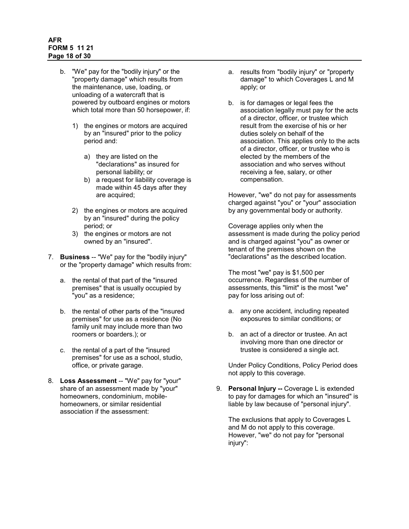## **AFR FORM 5 11 21 Page 18 of 30**

- b. "We" pay for the "bodily injury" or the "property damage" which results from the maintenance, use, loading, or unloading of a watercraft that is powered by outboard engines or motors which total more than 50 horsepower, if:
	- 1) the engines or motors are acquired by an "insured" prior to the policy period and:
		- a) they are listed on the "declarations" as insured for personal liability; or
		- b) a request for liability coverage is made within 45 days after they are acquired;
	- 2) the engines or motors are acquired by an "insured" during the policy period; or
	- 3) the engines or motors are not owned by an "insured".
- 7. **Business** -- "We" pay for the "bodily injury" or the "property damage" which results from:
	- a. the rental of that part of the "insured premises" that is usually occupied by "you" as a residence;
	- b. the rental of other parts of the "insured premises" for use as a residence (No family unit may include more than two roomers or boarders.); or
	- c. the rental of a part of the "insured premises" for use as a school, studio, office, or private garage.
- 8. **Loss Assessment** -- "We" pay for "your" share of an assessment made by "your" homeowners, condominium, mobilehomeowners, or similar residential association if the assessment:
- a. results from "bodily injury" or "property damage" to which Coverages L and M apply; or
- b. is for damages or legal fees the association legally must pay for the acts of a director, officer, or trustee which result from the exercise of his or her duties solely on behalf of the association. This applies only to the acts of a director, officer, or trustee who is elected by the members of the association and who serves without receiving a fee, salary, or other compensation.

However, "we" do not pay for assessments charged against "you" or "your" association by any governmental body or authority.

Coverage applies only when the assessment is made during the policy period and is charged against "you" as owner or tenant of the premises shown on the "declarations" as the described location.

The most "we" pay is \$1,500 per occurrence. Regardless of the number of assessments, this "limit" is the most "we" pay for loss arising out of:

- a. any one accident, including repeated exposures to similar conditions; or
- b. an act of a director or trustee. An act involving more than one director or trustee is considered a single act.

Under Policy Conditions, Policy Period does not apply to this coverage.

9. **Personal Injury --** Coverage L is extended to pay for damages for which an "insured" is liable by law because of "personal injury".

The exclusions that apply to Coverages L and M do not apply to this coverage. However, "we" do not pay for "personal injury":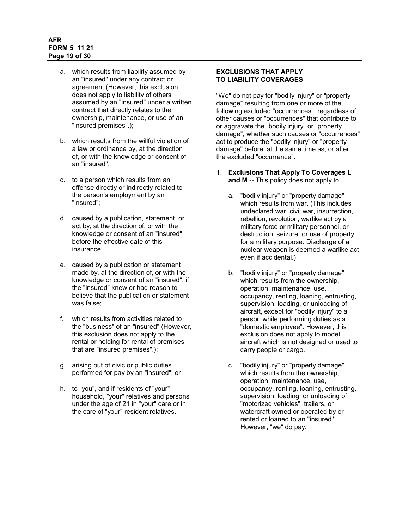# **AFR FORM 5 11 21 Page 19 of 30**

- a. which results from liability assumed by an "insured" under any contract or agreement (However, this exclusion does not apply to liability of others assumed by an "insured" under a written contract that directly relates to the ownership, maintenance, or use of an "insured premises".);
- b. which results from the willful violation of a law or ordinance by, at the direction of, or with the knowledge or consent of an "insured";
- c. to a person which results from an offense directly or indirectly related to the person's employment by an "insured";
- d. caused by a publication, statement, or act by, at the direction of, or with the knowledge or consent of an "insured" before the effective date of this insurance;
- e. caused by a publication or statement made by, at the direction of, or with the knowledge or consent of an "insured", if the "insured" knew or had reason to believe that the publication or statement was false;
- f. which results from activities related to the "business" of an "insured" (However, this exclusion does not apply to the rental or holding for rental of premises that are "insured premises".);
- g. arising out of civic or public duties performed for pay by an "insured"; or
- <span id="page-18-0"></span>h. to "you", and if residents of "your" household, "your" relatives and persons under the age of 21 in "your" care or in the care of "your" resident relatives.

# **EXCLUSIONS THAT APPLY TO LIABILITY COVERAGES**

"We" do not pay for "bodily injury" or "property damage" resulting from one or more of the following excluded "occurrences", regardless of other causes or "occurrences" that contribute to or aggravate the "bodily injury" or "property damage", whether such causes or "occurrences" act to produce the "bodily injury" or "property damage" before, at the same time as, or after the excluded "occurrence".

- 1. **Exclusions That Apply To Coverages L and M** -- This policy does not apply to:
	- a. "bodily injury" or "property damage" which results from war. (This includes undeclared war, civil war, insurrection, rebellion, revolution, warlike act by a military force or military personnel, or destruction, seizure, or use of property for a military purpose. Discharge of a nuclear weapon is deemed a warlike act even if accidental.)
	- b. "bodily injury" or "property damage" which results from the ownership, operation, maintenance, use, occupancy, renting, loaning, entrusting, supervision, loading, or unloading of aircraft, except for "bodily injury" to a person while performing duties as a "domestic employee". However, this exclusion does not apply to model aircraft which is not designed or used to carry people or cargo.
	- c. "bodily injury" or "property damage" which results from the ownership, operation, maintenance, use, occupancy, renting, loaning, entrusting, supervision, loading, or unloading of "motorized vehicles", trailers, or watercraft owned or operated by or rented or loaned to an "insured". However, "we" do pay: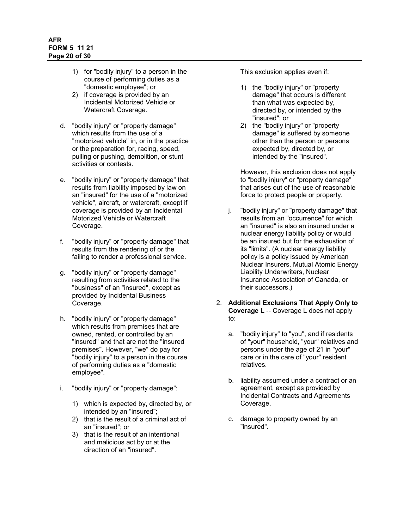- 1) for "bodily injury" to a person in the course of performing duties as a "domestic employee"; or
- 2) if coverage is provided by an Incidental Motorized Vehicle or Watercraft Coverage.
- d. "bodily injury" or "property damage" which results from the use of a "motorized vehicle" in, or in the practice or the preparation for, racing, speed, pulling or pushing, demolition, or stunt activities or contests.
- e. "bodily injury" or "property damage" that results from liability imposed by law on an "insured" for the use of a "motorized vehicle", aircraft, or watercraft, except if coverage is provided by an Incidental Motorized Vehicle or Watercraft Coverage.
- f. "bodily injury" or "property damage" that results from the rendering of or the failing to render a professional service.
- g. "bodily injury" or "property damage" resulting from activities related to the "business" of an "insured", except as provided by Incidental Business Coverage.
- h. "bodily injury" or "property damage" which results from premises that are owned, rented, or controlled by an "insured" and that are not the "insured premises". However, "we" do pay for "bodily injury" to a person in the course of performing duties as a "domestic employee".
- i. "bodily injury" or "property damage":
	- 1) which is expected by, directed by, or intended by an "insured";
	- 2) that is the result of a criminal act of an "insured"; or
	- 3) that is the result of an intentional and malicious act by or at the direction of an "insured".

This exclusion applies even if:

- 1) the "bodily injury" or "property damage" that occurs is different than what was expected by, directed by, or intended by the "insured"; or
- 2) the "bodily injury" or "property damage" is suffered by someone other than the person or persons expected by, directed by, or intended by the "insured".

However, this exclusion does not apply to "bodily injury" or "property damage" that arises out of the use of reasonable force to protect people or property.

- j. "bodily injury" or "property damage" that results from an "occurrence" for which an "insured" is also an insured under a nuclear energy liability policy or would be an insured but for the exhaustion of its "limits". (A nuclear energy liability policy is a policy issued by American Nuclear Insurers, Mutual Atomic Energy Liability Underwriters, Nuclear Insurance Association of Canada, or their successors.)
- 2. **Additional Exclusions That Apply Only to Coverage L** -- Coverage L does not apply to:
	- a. "bodily injury" to "you", and if residents of "your" household, "your" relatives and persons under the age of 21 in "your" care or in the care of "your" resident relatives.
	- b. liability assumed under a contract or an agreement, except as provided by Incidental Contracts and Agreements Coverage.
	- c. damage to property owned by an "insured".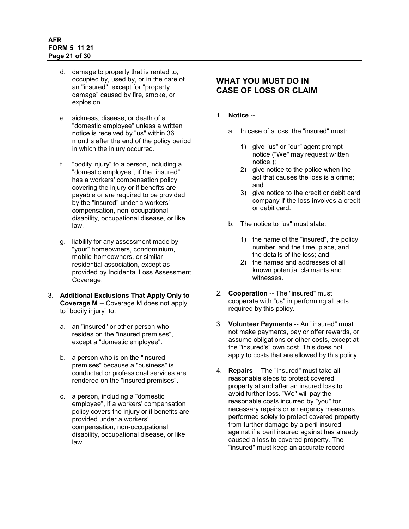# **AFR FORM 5 11 21 Page 21 of 30**

- d. damage to property that is rented to, occupied by, used by, or in the care of an "insured", except for "property damage" caused by fire, smoke, or explosion.
- e. sickness, disease, or death of a "domestic employee" unless a written notice is received by "us" within 36 months after the end of the policy period in which the injury occurred.
- f. "bodily injury" to a person, including a "domestic employee", if the "insured" has a workers' compensation policy covering the injury or if benefits are payable or are required to be provided by the "insured" under a workers' compensation, non-occupational disability, occupational disease, or like law.
- g. liability for any assessment made by "your" homeowners, condominium, mobile-homeowners, or similar residential association, except as provided by Incidental Loss Assessment Coverage.
- 3. **Additional Exclusions That Apply Only to Coverage M** -- Coverage M does not apply to "bodily injury" to:
	- a. an "insured" or other person who resides on the "insured premises", except a "domestic employee".
	- b. a person who is on the "insured premises" because a "business" is conducted or professional services are rendered on the "insured premises".
	- c. a person, including a "domestic employee", if a workers' compensation policy covers the injury or if benefits are provided under a workers' compensation, non-occupational disability, occupational disease, or like law.

# <span id="page-20-0"></span>**WHAT YOU MUST DO IN CASE OF LOSS OR CLAIM**

# 1. **Notice** --

- a. In case of a loss, the "insured" must:
	- 1) give "us" or "our" agent prompt notice ("We" may request written notice.);
	- 2) give notice to the police when the act that causes the loss is a crime; and
	- 3) give notice to the credit or debit card company if the loss involves a credit or debit card.
- b. The notice to "us" must state:
	- 1) the name of the "insured", the policy number, and the time, place, and the details of the loss; and
	- 2) the names and addresses of all known potential claimants and witnesses.
- 2. **Cooperation** -- The "insured" must cooperate with "us" in performing all acts required by this policy.
- 3. **Volunteer Payments** -- An "insured" must not make payments, pay or offer rewards, or assume obligations or other costs, except at the "insured's" own cost. This does not apply to costs that are allowed by this policy.
- 4. **Repairs** -- The "insured" must take all reasonable steps to protect covered property at and after an insured loss to avoid further loss. "We" will pay the reasonable costs incurred by "you" for necessary repairs or emergency measures performed solely to protect covered property from further damage by a peril insured against if a peril insured against has already caused a loss to covered property. The "insured" must keep an accurate record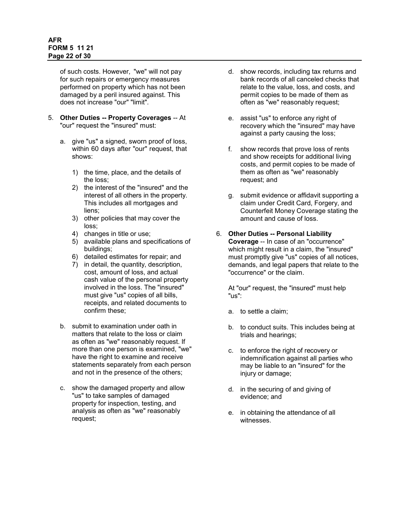### **AFR FORM 5 11 21 Page 22 of 30**

of such costs. However, "we" will not pay for such repairs or emergency measures performed on property which has not been damaged by a peril insured against. This does not increase "our" "limit".

- 5. **Other Duties -- Property Coverages** -- At "our" request the "insured" must:
	- a. give "us" a signed, sworn proof of loss, within 60 days after "our" request, that shows:
		- 1) the time, place, and the details of the loss;
		- 2) the interest of the "insured" and the interest of all others in the property. This includes all mortgages and liens;
		- 3) other policies that may cover the loss;
		- 4) changes in title or use;
		- 5) available plans and specifications of buildings;
		- 6) detailed estimates for repair; and
		- 7) in detail, the quantity, description, cost, amount of loss, and actual cash value of the personal property involved in the loss. The "insured" must give "us" copies of all bills, receipts, and related documents to confirm these;
	- b. submit to examination under oath in matters that relate to the loss or claim as often as "we" reasonably request. If more than one person is examined, "we" have the right to examine and receive statements separately from each person and not in the presence of the others;
	- c. show the damaged property and allow "us" to take samples of damaged property for inspection, testing, and analysis as often as "we" reasonably request;
- d. show records, including tax returns and bank records of all canceled checks that relate to the value, loss, and costs, and permit copies to be made of them as often as "we" reasonably request;
- e. assist "us" to enforce any right of recovery which the "insured" may have against a party causing the loss;
- f. show records that prove loss of rents and show receipts for additional living costs, and permit copies to be made of them as often as "we" reasonably request; and
- g. submit evidence or affidavit supporting a claim under Credit Card, Forgery, and Counterfeit Money Coverage stating the amount and cause of loss.

#### 6. **Other Duties -- Personal Liability Coverage** -- In case of an "occurrence" which might result in a claim, the "insured" must promptly give "us" copies of all notices, demands, and legal papers that relate to the "occurrence" or the claim.

At "our" request, the "insured" must help "us":

- a. to settle a claim;
- b. to conduct suits. This includes being at trials and hearings;
- c. to enforce the right of recovery or indemnification against all parties who may be liable to an "insured" for the injury or damage;
- d. in the securing of and giving of evidence; and
- e. in obtaining the attendance of all witnesses.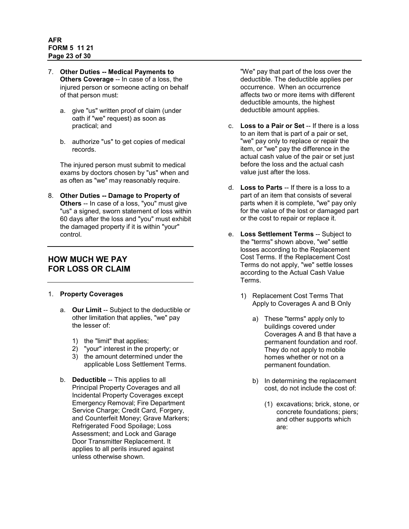- 7. **Other Duties -- Medical Payments to Others Coverage** -- In case of a loss, the injured person or someone acting on behalf of that person must:
	- a. give "us" written proof of claim (under oath if "we" request) as soon as practical; and
	- b. authorize "us" to get copies of medical records.

The injured person must submit to medical exams by doctors chosen by "us" when and as often as "we" may reasonably require.

8. **Other Duties -- Damage to Property of Others** -- In case of a loss, "you" must give "us" a signed, sworn statement of loss within 60 days after the loss and "you" must exhibit the damaged property if it is within "your" control.

# <span id="page-22-0"></span>**HOW MUCH WE PAY FOR LOSS OR CLAIM**

# 1. **Property Coverages**

- a. **Our Limit** -- Subject to the deductible or other limitation that applies, "we" pay the lesser of:
	- 1) the "limit" that applies;
	- 2) "your" interest in the property; or
	- 3) the amount determined under the applicable Loss Settlement Terms.
- b. **Deductible** -- This applies to all Principal Property Coverages and all Incidental Property Coverages except Emergency Removal; Fire Department Service Charge; Credit Card, Forgery, and Counterfeit Money; Grave Markers; Refrigerated Food Spoilage; Loss Assessment; and Lock and Garage Door Transmitter Replacement. It applies to all perils insured against unless otherwise shown.

"We" pay that part of the loss over the deductible. The deductible applies per occurrence. When an occurrence affects two or more items with different deductible amounts, the highest deductible amount applies.

- c. **Loss to a Pair or Set** -- If there is a loss to an item that is part of a pair or set, "we" pay only to replace or repair the item, or "we" pay the difference in the actual cash value of the pair or set just before the loss and the actual cash value just after the loss.
- d. **Loss to Parts** -- If there is a loss to a part of an item that consists of several parts when it is complete, "we" pay only for the value of the lost or damaged part or the cost to repair or replace it.
- e. **Loss Settlement Terms** -- Subject to the "terms" shown above, "we" settle losses according to the Replacement Cost Terms. If the Replacement Cost Terms do not apply, "we" settle losses according to the Actual Cash Value Terms.
	- 1) Replacement Cost Terms That Apply to Coverages A and B Only
		- a) These "terms" apply only to buildings covered under Coverages A and B that have a permanent foundation and roof. They do not apply to mobile homes whether or not on a permanent foundation.
		- b) In determining the replacement cost, do not include the cost of:
			- (1) excavations; brick, stone, or concrete foundations; piers; and other supports which are: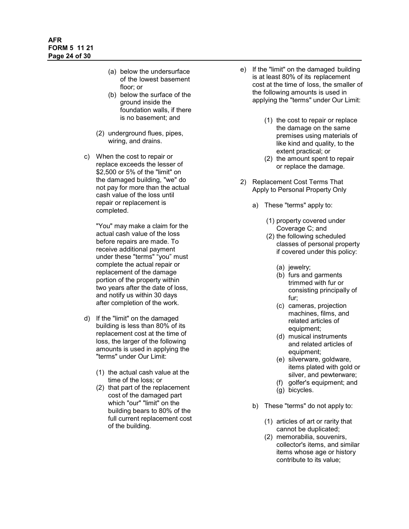- (a) below the undersurface of the lowest basement floor; or
- (b) below the surface of the ground inside the foundation walls, if there is no basement; and
- (2) underground flues, pipes, wiring, and drains.
- c) When the cost to repair or replace exceeds the lesser of \$2,500 or 5% of the "limit" on the damaged building, "we" do not pay for more than the actual cash value of the loss until repair or replacement is completed.

"You" may make a claim for the actual cash value of the loss before repairs are made. To receive additional payment under these "terms" "you" must complete the actual repair or replacement of the damage portion of the property within two years after the date of loss, and notify us within 30 days after completion of the work.

- d) If the "limit" on the damaged building is less than 80% of its replacement cost at the time of loss, the larger of the following amounts is used in applying the "terms" under Our Limit:
	- (1) the actual cash value at the time of the loss; or
	- (2) that part of the replacement cost of the damaged part which "our" "limit" on the building bears to 80% of the full current replacement cost of the building.
- e) If the "limit" on the damaged building is at least 80% of its replacement cost at the time of loss, the smaller of the following amounts is used in applying the "terms" under Our Limit:
	- (1) the cost to repair or replace the damage on the same premises using materials of like kind and quality, to the extent practical; or
	- (2) the amount spent to repair or replace the damage.
- 2) Replacement Cost Terms That Apply to Personal Property Only
	- a) These "terms" apply to:
		- (1) property covered under Coverage C; and
		- (2) the following scheduled classes of personal property if covered under this policy:
			- (a) jewelry;
			- (b) furs and garments trimmed with fur or consisting principally of fur;
			- (c) cameras, projection machines, films, and related articles of equipment;
			- (d) musical instruments and related articles of equipment;
			- (e) silverware, goldware, items plated with gold or silver, and pewterware;
			- (f) golfer's equipment; and
			- (g) bicycles.
	- b) These "terms" do not apply to:
		- (1) articles of art or rarity that cannot be duplicated;
		- (2) memorabilia, souvenirs, collector's items, and similar items whose age or history contribute to its value;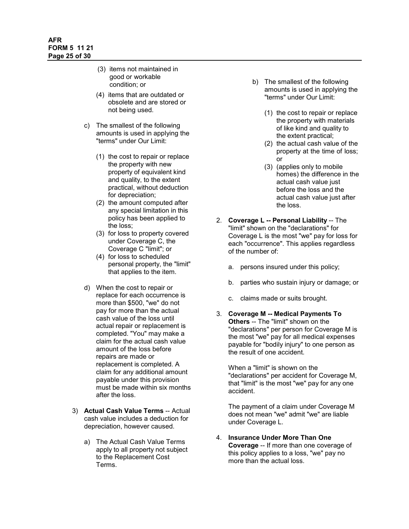- (3) items not maintained in good or workable condition; or
- (4) items that are outdated or obsolete and are stored or not being used.
- c) The smallest of the following amounts is used in applying the "terms" under Our Limit:
	- (1) the cost to repair or replace the property with new property of equivalent kind and quality, to the extent practical, without deduction for depreciation;
	- (2) the amount computed after any special limitation in this policy has been applied to the loss;
	- (3) for loss to property covered under Coverage C, the Coverage C "limit"; or
	- (4) for loss to scheduled personal property, the "limit" that applies to the item.
- d) When the cost to repair or replace for each occurrence is more than \$500, "we" do not pay for more than the actual cash value of the loss until actual repair or replacement is completed. "You" may make a claim for the actual cash value amount of the loss before repairs are made or replacement is completed. A claim for any additional amount payable under this provision must be made within six months after the loss.
- 3) **Actual Cash Value Terms** -- Actual cash value includes a deduction for depreciation, however caused.
	- a) The Actual Cash Value Terms apply to all property not subject to the Replacement Cost Terms.
- b) The smallest of the following amounts is used in applying the "terms" under Our Limit:
	- (1) the cost to repair or replace the property with materials of like kind and quality to the extent practical;
	- (2) the actual cash value of the property at the time of loss; or
	- (3) (applies only to mobile homes) the difference in the actual cash value just before the loss and the actual cash value just after the loss.
- 2. **Coverage L -- Personal Liability** -- The "limit" shown on the "declarations" for Coverage L is the most "we" pay for loss for each "occurrence". This applies regardless of the number of:
	- a. persons insured under this policy;
	- b. parties who sustain injury or damage; or
	- c. claims made or suits brought.
- 3. **Coverage M -- Medical Payments To Others** -- The "limit" shown on the "declarations" per person for Coverage M is the most "we" pay for all medical expenses payable for "bodily injury" to one person as the result of one accident.

When a "limit" is shown on the "declarations" per accident for Coverage M, that "limit" is the most "we" pay for any one accident.

The payment of a claim under Coverage M does not mean "we" admit "we" are liable under Coverage L.

4. **Insurance Under More Than One Coverage** -- If more than one coverage of this policy applies to a loss, "we" pay no more than the actual loss.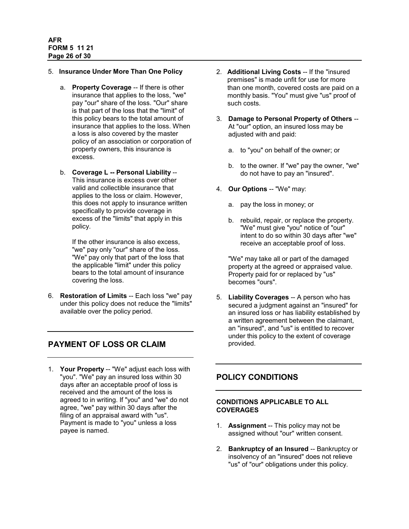#### 5. **Insurance Under More Than One Policy**

- a. **Property Coverage** -- If there is other insurance that applies to the loss, "we" pay "our" share of the loss. "Our" share is that part of the loss that the "limit" of this policy bears to the total amount of insurance that applies to the loss. When a loss is also covered by the master policy of an association or corporation of property owners, this insurance is excess.
- b. **Coverage L -- Personal Liability** -- This insurance is excess over other valid and collectible insurance that applies to the loss or claim. However, this does not apply to insurance written specifically to provide coverage in excess of the "limits" that apply in this policy.

If the other insurance is also excess, "we" pay only "our" share of the loss. "We" pay only that part of the loss that the applicable "limit" under this policy bears to the total amount of insurance covering the loss.

6. **Restoration of Limits** -- Each loss "we" pay under this policy does not reduce the "limits" available over the policy period.

# <span id="page-25-0"></span>**PAYMENT OF LOSS OR CLAIM**

1. **Your Property** -- "We" adjust each loss with "you". "We" pay an insured loss within 30 days after an acceptable proof of loss is received and the amount of the loss is agreed to in writing. If "you" and "we" do not agree, "we" pay within 30 days after the filing of an appraisal award with "us". Payment is made to "you" unless a loss payee is named.

- 2. **Additional Living Costs** -- If the "insured premises" is made unfit for use for more than one month, covered costs are paid on a monthly basis. "You" must give "us" proof of such costs.
- 3. **Damage to Personal Property of Others** -- At "our" option, an insured loss may be adjusted with and paid:
	- a. to "you" on behalf of the owner; or
	- b. to the owner. If "we" pay the owner, "we" do not have to pay an "insured".
- 4. **Our Options** -- "We" may:
	- a. pay the loss in money; or
	- b. rebuild, repair, or replace the property. "We" must give "you" notice of "our" intent to do so within 30 days after "we" receive an acceptable proof of loss.

"We" may take all or part of the damaged property at the agreed or appraised value. Property paid for or replaced by "us" becomes "ours".

5. **Liability Coverages** -- A person who has secured a judgment against an "insured" for an insured loss or has liability established by a written agreement between the claimant, an "insured", and "us" is entitled to recover under this policy to the extent of coverage provided.

# <span id="page-25-1"></span>**POLICY CONDITIONS**

### <span id="page-25-2"></span>**CONDITIONS APPLICABLE TO ALL COVERAGES**

- 1. **Assignment** -- This policy may not be assigned without "our" written consent.
- 2. **Bankruptcy of an Insured** -- Bankruptcy or insolvency of an "insured" does not relieve "us" of "our" obligations under this policy.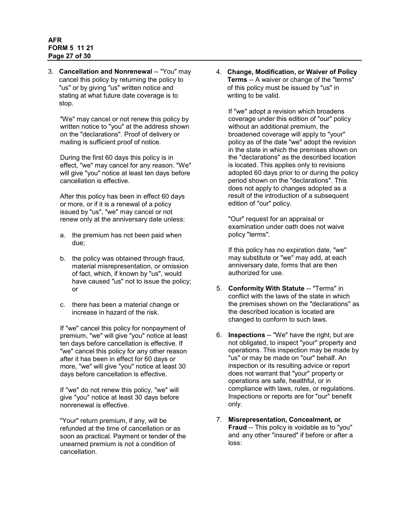### **AFR FORM 5 11 21 Page 27 of 30**

3. **Cancellation and Nonrenewal** -- "You" may cancel this policy by returning the policy to "us" or by giving "us" written notice and stating at what future date coverage is to stop.

"We" may cancel or not renew this policy by written notice to "you" at the address shown on the "declarations". Proof of delivery or mailing is sufficient proof of notice.

During the first 60 days this policy is in effect, "we" may cancel for any reason. "We" will give "you" notice at least ten days before cancellation is effective.

After this policy has been in effect 60 days or more, or if it is a renewal of a policy issued by "us", "we" may cancel or not renew only at the anniversary date unless:

- a. the premium has not been paid when due;
- b. the policy was obtained through fraud, material misrepresentation, or omission of fact, which, if known by "us", would have caused "us" not to issue the policy; or
- c. there has been a material change or increase in hazard of the risk.

If "we" cancel this policy for nonpayment of premium, "we" will give "you" notice at least ten days before cancellation is effective. If "we" cancel this policy for any other reason after it has been in effect for 60 days or more, "we" will give "you" notice at least 30 days before cancellation is effective.

If "we" do not renew this policy, "we" will give "you" notice at least 30 days before nonrenewal is effective.

"Your" return premium, if any, will be refunded at the time of cancellation or as soon as practical. Payment or tender of the unearned premium is not a condition of cancellation.

4. **Change, Modification, or Waiver of Policy Terms** -- A waiver or change of the "terms" of this policy must be issued by "us" in writing to be valid.

If "we" adopt a revision which broadens coverage under this edition of "our" policy without an additional premium, the broadened coverage will apply to "your" policy as of the date "we" adopt the revision in the state in which the premises shown on the "declarations" as the described location is located. This applies only to revisions adopted 60 days prior to or during the policy period shown on the "declarations". This does not apply to changes adopted as a result of the introduction of a subsequent edition of "our" policy.

"Our" request for an appraisal or examination under oath does not waive policy "terms".

If this policy has no expiration date, "we" may substitute or "we" may add, at each anniversary date, forms that are then authorized for use.

- 5. **Conformity With Statute** -- "Terms" in conflict with the laws of the state in which the premises shown on the "declarations" as the described location is located are changed to conform to such laws.
- 6. **Inspections** -- "We" have the right, but are not obligated, to inspect "your" property and operations. This inspection may be made by "us" or may be made on "our" behalf. An inspection or its resulting advice or report does not warrant that "your" property or operations are safe, healthful, or in compliance with laws, rules, or regulations. Inspections or reports are for "our" benefit only.
- 7. **Misrepresentation, Concealment, or Fraud** -- This policy is voidable as to "you" and any other "insured" if before or after a loss: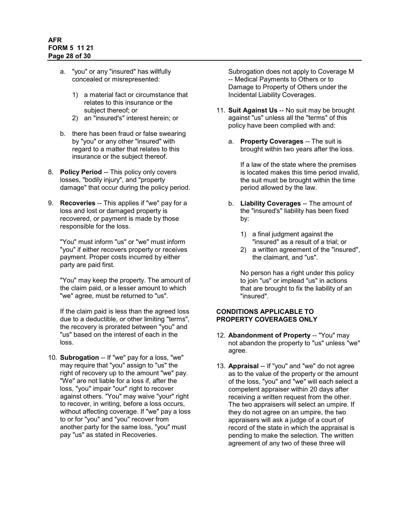- a. "you" or any "insured" has willfully concealed or misrepresented:
	- 1) a material fact or circumstance that relates to this insurance or the subject thereof; or
	- 2) an "insured's" interest herein; or
- b. there has been fraud or false swearing by "you" or any other "insured" with regard to a matter that relates to this insurance or the subject thereof.
- 8. **Policy Period** -- This policy only covers losses, "bodily injury", and "property damage" that occur during the policy period.
- 9. **Recoveries** -- This applies if "we" pay for a loss and lost or damaged property is recovered, or payment is made by those responsible for the loss.

"You" must inform "us" or "we" must inform "you" if either recovers property or receives payment. Proper costs incurred by either party are paid first.

"You" may keep the property. The amount of the claim paid, or a lesser amount to which "we" agree, must be returned to "us".

If the claim paid is less than the agreed loss due to a deductible, or other limiting "terms", the recovery is prorated between "you" and "us" based on the interest of each in the loss.

10. **Subrogation** -- If "we" pay for a loss, "we" may require that "you" assign to "us" the right of recovery up to the amount "we" pay. "We" are not liable for a loss if, after the loss, "you" impair "our" right to recover against others. "You" may waive "your" right to recover, in writing, before a loss occurs, without affecting coverage. If "we" pay a loss to or for "you" and "you" recover from another party for the same loss, "you" must pay "us" as stated in Recoveries.

Subrogation does not apply to Coverage M -- Medical Payments to Others or to Damage to Property of Others under the Incidental Liability Coverages.

- 11. **Suit Against Us** -- No suit may be brought against "us" unless all the "terms" of this policy have been complied with and:
	- a. **Property Coverages** -- The suit is brought within two years after the loss.

If a law of the state where the premises is located makes this time period invalid, the suit must be brought within the time period allowed by the law.

- b. **Liability Coverages** -- The amount of the "insured's" liability has been fixed by:
	- 1) a final judgment against the "insured" as a result of a trial; or
	- 2) a written agreement of the "insured", the claimant, and "us".

No person has a right under this policy to join "us" or implead "us" in actions that are brought to fix the liability of an "insured".

### <span id="page-27-0"></span>**CONDITIONS APPLICABLE TO PROPERTY COVERAGES ONLY**

- 12. **Abandonment of Property** -- "You" may not abandon the property to "us" unless "we" agree.
- 13. **Appraisal** -- If "you" and "we" do not agree as to the value of the property or the amount of the loss, "you" and "we" will each select a competent appraiser within 20 days after receiving a written request from the other. The two appraisers will select an umpire. If they do not agree on an umpire, the two appraisers will ask a judge of a court of record of the state in which the appraisal is pending to make the selection. The written agreement of any two of these three will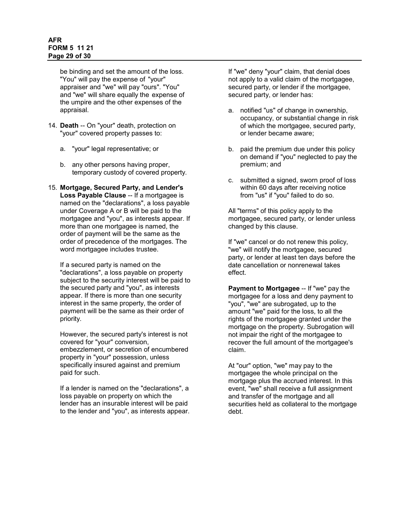### **AFR FORM 5 11 21 Page 29 of 30**

be binding and set the amount of the loss. "You" will pay the expense of "your" appraiser and "we" will pay "ours". "You" and "we" will share equally the expense of the umpire and the other expenses of the appraisal.

- 14. **Death** -- On "your" death, protection on "your" covered property passes to:
	- a. "your" legal representative; or
	- b. any other persons having proper, temporary custody of covered property.
- 15. **Mortgage, Secured Party, and Lender's Loss Payable Clause** -- If a mortgagee is named on the "declarations", a loss payable under Coverage A or B will be paid to the mortgagee and "you", as interests appear. If more than one mortgagee is named, the order of payment will be the same as the order of precedence of the mortgages. The word mortgagee includes trustee.

If a secured party is named on the "declarations", a loss payable on property subject to the security interest will be paid to the secured party and "you", as interests appear. If there is more than one security interest in the same property, the order of payment will be the same as their order of priority.

However, the secured party's interest is not covered for "your" conversion, embezzlement, or secretion of encumbered property in "your" possession, unless specifically insured against and premium paid for such.

If a lender is named on the "declarations", a loss payable on property on which the lender has an insurable interest will be paid to the lender and "you", as interests appear.

If "we" deny "your" claim, that denial does not apply to a valid claim of the mortgagee, secured party, or lender if the mortgagee, secured party, or lender has:

- a. notified "us" of change in ownership, occupancy, or substantial change in risk of which the mortgagee, secured party, or lender became aware;
- b. paid the premium due under this policy on demand if "you" neglected to pay the premium; and
- c. submitted a signed, sworn proof of loss within 60 days after receiving notice from "us" if "you" failed to do so.

All "terms" of this policy apply to the mortgagee, secured party, or lender unless changed by this clause.

If "we" cancel or do not renew this policy, "we" will notify the mortgagee, secured party, or lender at least ten days before the date cancellation or nonrenewal takes effect.

**Payment to Mortgagee** -- If "we" pay the mortgagee for a loss and deny payment to "you", "we" are subrogated, up to the amount "we" paid for the loss, to all the rights of the mortgagee granted under the mortgage on the property. Subrogation will not impair the right of the mortgagee to recover the full amount of the mortgagee's claim.

At "our" option, "we" may pay to the mortgagee the whole principal on the mortgage plus the accrued interest. In this event, "we" shall receive a full assignment and transfer of the mortgage and all securities held as collateral to the mortgage debt.